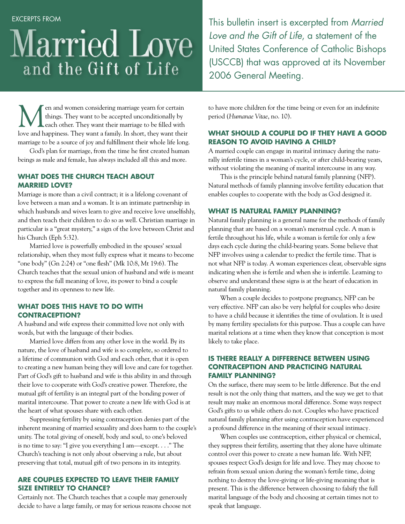# Married Love and the Gift of Life

This bulletin insert is excerpted from *Married Love and the Gift of Life*, a statement of the United States Conference of Catholic Bishops (USCCB) that was approved at its November 2006 General Meeting.

Men and women considering marriage yearn for certain<br>things. They want to be accepted unconditionally by<br>leach other. They want their marriage to be filled with<br>leave and haminess. They want a family. In short they want th things. They want to be accepted unconditionally by each other. They want their marriage to be filled with love and happiness. They want a family. In short, they want their marriage to be a source of joy and fulfillment their whole life long.

God's plan for marriage, from the time he first created human beings as male and female, has always included all this and more.

# **What does the Church teach about married love?**

Marriage is more than a civil contract; it is a lifelong covenant of love between a man and a woman. It is an intimate partnership in which husbands and wives learn to give and receive love unselfishly, and then teach their children to do so as well. Christian marriage in particular is a "great mystery," a sign of the love between Christ and his Church (Eph 5:32).

Married love is powerfully embodied in the spouses' sexual relationship, when they most fully express what it means to become "one body" (Gn 2:24) or "one flesh" (Mk 10:8, Mt 19:6). The Church teaches that the sexual union of husband and wife is meant to express the full meaning of love, its power to bind a couple together and its openness to new life.

# **What does this have to do with contraception?**

A husband and wife express their committed love not only with words, but with the language of their bodies.

Married love differs from any other love in the world. By its nature, the love of husband and wife is so complete, so ordered to a lifetime of communion with God and each other, that it is open to creating a new human being they will love and care for together. Part of God's gift to husband and wife is this ability in and through their love to cooperate with God's creative power. Therefore, the mutual gift of fertility is an integral part of the bonding power of marital intercourse. That power to create a new life with God is at the heart of what spouses share with each other.

Suppressing fertility by using contraception denies part of the inherent meaning of married sexuality and does harm to the couple's unity. The total giving of oneself, body and soul, to one's beloved is no time to say: "I give you everything I am—except. . . ." The Church's teaching is not only about observing a rule, but about preserving that total, mutual gift of two persons in its integrity.

#### **Are couples expected to leave their family size entirely to chance?**

Certainly not. The Church teaches that a couple may generously decide to have a large family, or may for serious reasons choose not to have more children for the time being or even for an indefinite period (*Humanae Vitae*, no. 10).

### **What should a couple do if they have a good reason to avoid having a child?**

A married couple can engage in marital intimacy during the naturally infertile times in a woman's cycle, or after child-bearing years, without violating the meaning of marital intercourse in any way.

This is the principle behind natural family planning (NFP). Natural methods of family planning involve fertility education that enables couples to cooperate with the body as God designed it.

#### **What is natural family planning?**

Natural family planning is a general name for the methods of family planning that are based on a woman's menstrual cycle. A man is fertile throughout his life, while a woman is fertile for only a few days each cycle during the child-bearing years. Some believe that NFP involves using a calendar to predict the fertile time. That is not what NFP is today. A woman experiences clear, observable signs indicating when she is fertile and when she is infertile. Learning to observe and understand these signs is at the heart of education in natural family planning.

When a couple decides to postpone pregnancy, NFP can be very effective. NFP can also be very helpful for couples who desire to have a child because it identifies the time of ovulation. It is used by many fertility specialists for this purpose. Thus a couple can have marital relations at a time when they know that conception is most likely to take place.

#### **Is there really a difference between using contraception and practicing natural family planning?**

On the surface, there may seem to be little difference. But the end result is not the only thing that matters, and the *way* we get to that result may make an enormous moral difference. Some ways respect God's gifts to us while others do not. Couples who have practiced natural family planning after using contraception have experienced a profound difference in the meaning of their sexual intimacy*.*

When couples use contraception, either physical or chemical, they suppress their fertility, asserting that they alone have ultimate control over this power to create a new human life. With NFP, spouses respect God's design for life and love. They may choose to refrain from sexual union during the woman's fertile time, doing nothing to destroy the love-giving or life-giving meaning that is present. This is the difference between choosing to falsify the full marital language of the body and choosing at certain times not to speak that language.